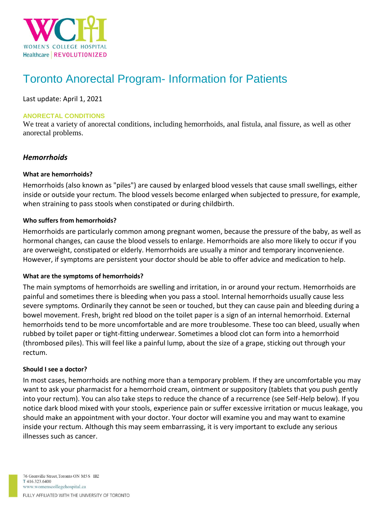

# Toronto Anorectal Program- Information for Patients

Last update: April 1, 2021

#### **ANORECTAL CONDITIONS**

We treat a variety of anorectal conditions, including hemorrhoids, anal fistula, anal fissure, as well as other anorectal problems.

# *Hemorrhoids*

#### **What are hemorrhoids?**

Hemorrhoids (also known as "piles") are caused by enlarged blood vessels that cause small swellings, either inside or outside your rectum. The blood vessels become enlarged when subjected to pressure, for example, when straining to pass stools when constipated or during childbirth.

#### **Who suffers from hemorrhoids?**

Hemorrhoids are particularly common among pregnant women, because the pressure of the baby, as well as hormonal changes, can cause the blood vessels to enlarge. Hemorrhoids are also more likely to occur if you are overweight, constipated or elderly. Hemorrhoids are usually a minor and temporary inconvenience. However, if symptoms are persistent your doctor should be able to offer advice and medication to help.

#### **What are the symptoms of hemorrhoids?**

The main symptoms of hemorrhoids are swelling and irritation, in or around your rectum. Hemorrhoids are painful and sometimes there is bleeding when you pass a stool. Internal hemorrhoids usually cause less severe symptoms. Ordinarily they cannot be seen or touched, but they can cause pain and bleeding during a bowel movement. Fresh, bright red blood on the toilet paper is a sign of an internal hemorrhoid. External hemorrhoids tend to be more uncomfortable and are more troublesome. These too can bleed, usually when rubbed by toilet paper or tight-fitting underwear. Sometimes a blood clot can form into a hemorrhoid (thrombosed piles). This will feel like a painful lump, about the size of a grape, sticking out through your rectum.

#### **Should I see a doctor?**

In most cases, hemorrhoids are nothing more than a temporary problem. If they are uncomfortable you may want to ask your pharmacist for a hemorrhoid cream, ointment or suppository (tablets that you push gently into your rectum). You can also take steps to reduce the chance of a recurrence (see Self-Help below). If you notice dark blood mixed with your stools, experience pain or suffer excessive irritation or mucus leakage, you should make an appointment with your doctor. Your doctor will examine you and may want to examine inside your rectum. Although this may seem embarrassing, it is very important to exclude any serious illnesses such as cancer.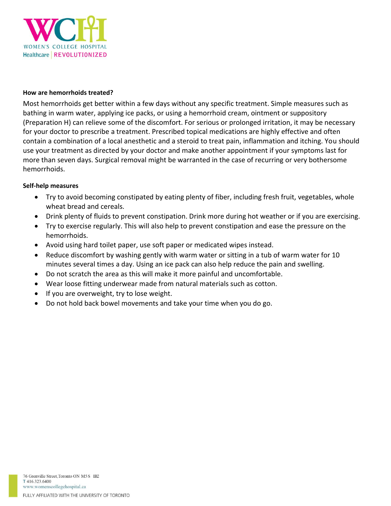

#### **How are hemorrhoids treated?**

Most hemorrhoids get better within a few days without any specific treatment. Simple measures such as bathing in warm water, applying ice packs, or using a hemorrhoid cream, ointment or suppository (Preparation H) can relieve some of the discomfort. For serious or prolonged irritation, it may be necessary for your doctor to prescribe a treatment. Prescribed topical medications are highly effective and often contain a combination of a local anesthetic and a steroid to treat pain, inflammation and itching. You should use your treatment as directed by your doctor and make another appointment if your symptoms last for more than seven days. Surgical removal might be warranted in the case of recurring or very bothersome hemorrhoids.

#### **Self-help measures**

- Try to avoid becoming constipated by eating plenty of fiber, including fresh fruit, vegetables, whole wheat bread and cereals.
- Drink plenty of fluids to prevent constipation. Drink more during hot weather or if you are exercising.
- Try to exercise regularly. This will also help to prevent constipation and ease the pressure on the hemorrhoids.
- Avoid using hard toilet paper, use soft paper or medicated wipes instead.
- Reduce discomfort by washing gently with warm water or sitting in a tub of warm water for 10 minutes several times a day. Using an ice pack can also help reduce the pain and swelling.
- Do not scratch the area as this will make it more painful and uncomfortable.
- Wear loose fitting underwear made from natural materials such as cotton.
- If you are overweight, try to lose weight.
- Do not hold back bowel movements and take your time when you do go.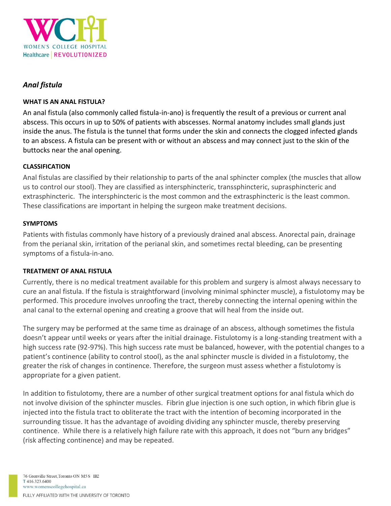

# *Anal fistula*

## **WHAT IS AN ANAL FISTULA?**

An anal fistula (also commonly called fistula-in-ano) is frequently the result of a previous or current anal abscess. This occurs in up to 50% of patients with abscesses. Normal anatomy includes small glands just inside the anus. The fistula is the tunnel that forms under the skin and connects the clogged infected glands to an abscess. A fistula can be present with or without an abscess and may connect just to the skin of the buttocks near the anal opening.

## **CLASSIFICATION**

Anal fistulas are classified by their relationship to parts of the anal sphincter complex (the muscles that allow us to control our stool). They are classified as intersphincteric, transsphincteric, suprasphincteric and extrasphincteric. The intersphincteric is the most common and the extrasphincteric is the least common. These classifications are important in helping the surgeon make treatment decisions.

## **SYMPTOMS**

Patients with fistulas commonly have history of a previously drained anal abscess. Anorectal pain, drainage from the perianal skin, irritation of the perianal skin, and sometimes rectal bleeding, can be presenting symptoms of a fistula-in-ano.

## **TREATMENT OF ANAL FISTULA**

Currently, there is no medical treatment available for this problem and surgery is almost always necessary to cure an anal fistula. If the fistula is straightforward (involving minimal sphincter muscle), a fistulotomy may be performed. This procedure involves unroofing the tract, thereby connecting the internal opening within the anal canal to the external opening and creating a groove that will heal from the inside out.

The surgery may be performed at the same time as drainage of an abscess, although sometimes the fistula doesn't appear until weeks or years after the initial drainage. Fistulotomy is a long-standing treatment with a high success rate (92-97%). This high success rate must be balanced, however, with the potential changes to a patient's continence (ability to control stool), as the anal sphincter muscle is divided in a fistulotomy, the greater the risk of changes in continence. Therefore, the surgeon must assess whether a fistulotomy is appropriate for a given patient.

In addition to fistulotomy, there are a number of other surgical treatment options for anal fistula which do not involve division of the sphincter muscles. Fibrin glue injection is one such option, in which fibrin glue is injected into the fistula tract to obliterate the tract with the intention of becoming incorporated in the surrounding tissue. It has the advantage of avoiding dividing any sphincter muscle, thereby preserving continence. While there is a relatively high failure rate with this approach, it does not "burn any bridges" (risk affecting continence) and may be repeated.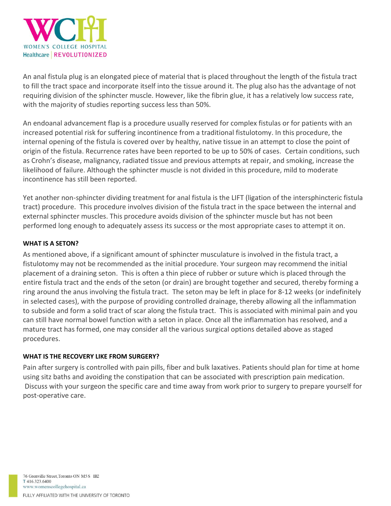

An anal fistula plug is an elongated piece of material that is placed throughout the length of the fistula tract to fill the tract space and incorporate itself into the tissue around it. The plug also has the advantage of not requiring division of the sphincter muscle. However, like the fibrin glue, it has a relatively low success rate, with the majority of studies reporting success less than 50%.

An endoanal advancement flap is a procedure usually reserved for complex fistulas or for patients with an increased potential risk for suffering incontinence from a traditional fistulotomy. In this procedure, the internal opening of the fistula is covered over by healthy, native tissue in an attempt to close the point of origin of the fistula. Recurrence rates have been reported to be up to 50% of cases. Certain conditions, such as Crohn's disease, malignancy, radiated tissue and previous attempts at repair, and smoking, increase the likelihood of failure. Although the sphincter muscle is not divided in this procedure, mild to moderate incontinence has still been reported.

Yet another non-sphincter dividing treatment for anal fistula is the LIFT (ligation of the intersphincteric fistula tract) procedure. This procedure involves division of the fistula tract in the space between the internal and external sphincter muscles. This procedure avoids division of the sphincter muscle but has not been performed long enough to adequately assess its success or the most appropriate cases to attempt it on.

## **WHAT IS A SETON?**

As mentioned above, if a significant amount of sphincter musculature is involved in the fistula tract, a fistulotomy may not be recommended as the initial procedure. Your surgeon may recommend the initial placement of a draining seton. This is often a thin piece of rubber or suture which is placed through the entire fistula tract and the ends of the seton (or drain) are brought together and secured, thereby forming a ring around the anus involving the fistula tract. The seton may be left in place for 8-12 weeks (or indefinitely in selected cases), with the purpose of providing controlled drainage, thereby allowing all the inflammation to subside and form a solid tract of scar along the fistula tract. This is associated with minimal pain and you can still have normal bowel function with a seton in place. Once all the inflammation has resolved, and a mature tract has formed, one may consider all the various surgical options detailed above as staged procedures.

## **WHAT IS THE RECOVERY LIKE FROM SURGERY?**

Pain after surgery is controlled with pain pills, fiber and bulk laxatives. Patients should plan for time at home using sitz baths and avoiding the constipation that can be associated with prescription pain medication. Discuss with your surgeon the specific care and time away from work prior to surgery to prepare yourself for post-operative care.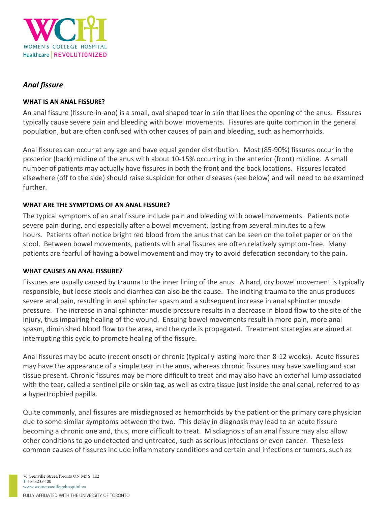

# *Anal fissure*

## **WHAT IS AN ANAL FISSURE?**

An anal fissure (fissure-in-ano) is a small, oval shaped tear in skin that lines the opening of the anus. Fissures typically cause severe pain and bleeding with bowel movements. Fissures are quite common in the general population, but are often confused with other causes of pain and bleeding, such as hemorrhoids.

Anal fissures can occur at any age and have equal gender distribution. Most (85-90%) fissures occur in the posterior (back) midline of the anus with about 10-15% occurring in the anterior (front) midline. A small number of patients may actually have fissures in both the front and the back locations. Fissures located elsewhere (off to the side) should raise suspicion for other diseases (see below) and will need to be examined further.

## **WHAT ARE THE SYMPTOMS OF AN ANAL FISSURE?**

The typical symptoms of an anal fissure include pain and bleeding with bowel movements. Patients note severe pain during, and especially after a bowel movement, lasting from several minutes to a few hours. Patients often notice bright red blood from the anus that can be seen on the toilet paper or on the stool. Between bowel movements, patients with anal fissures are often relatively symptom-free. Many patients are fearful of having a bowel movement and may try to avoid defecation secondary to the pain.

## **WHAT CAUSES AN ANAL FISSURE?**

Fissures are usually caused by trauma to the inner lining of the anus. A hard, dry bowel movement is typically responsible, but loose stools and diarrhea can also be the cause. The inciting trauma to the anus produces severe anal pain, resulting in anal sphincter spasm and a subsequent increase in anal sphincter muscle pressure. The increase in anal sphincter muscle pressure results in a decrease in blood flow to the site of the injury, thus impairing healing of the wound. Ensuing bowel movements result in more pain, more anal spasm, diminished blood flow to the area, and the cycle is propagated. Treatment strategies are aimed at interrupting this cycle to promote healing of the fissure.

Anal fissures may be acute (recent onset) or chronic (typically lasting more than 8-12 weeks). Acute fissures may have the appearance of a simple tear in the anus, whereas chronic fissures may have swelling and scar tissue present. Chronic fissures may be more difficult to treat and may also have an external lump associated with the tear, called a sentinel pile or skin tag, as well as extra tissue just inside the anal canal, referred to as a hypertrophied papilla.

Quite commonly, anal fissures are misdiagnosed as hemorrhoids by the patient or the primary care physician due to some similar symptoms between the two. This delay in diagnosis may lead to an acute fissure becoming a chronic one and, thus, more difficult to treat. Misdiagnosis of an anal fissure may also allow other conditions to go undetected and untreated, such as serious infections or even cancer. These less common causes of fissures include inflammatory conditions and certain anal infections or tumors, such as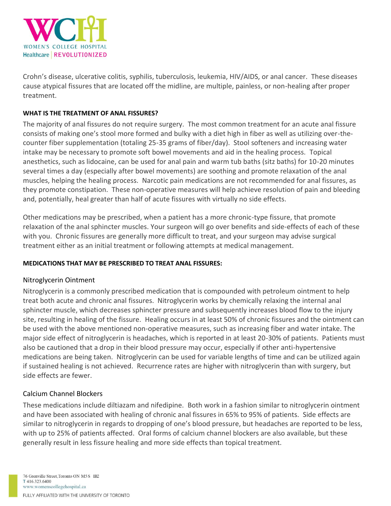

Crohn's disease, ulcerative colitis, syphilis, tuberculosis, leukemia, HIV/AIDS, or anal cancer. These diseases cause atypical fissures that are located off the midline, are multiple, painless, or non-healing after proper treatment.

## **WHAT IS THE TREATMENT OF ANAL FISSURES?**

The majority of anal fissures do not require surgery. The most common treatment for an acute anal fissure consists of making one's stool more formed and bulky with a diet high in fiber as well as utilizing over-thecounter fiber supplementation (totaling 25-35 grams of fiber/day). Stool softeners and increasing water intake may be necessary to promote soft bowel movements and aid in the healing process. Topical anesthetics, such as lidocaine, can be used for anal pain and warm tub baths (sitz baths) for 10-20 minutes several times a day (especially after bowel movements) are soothing and promote relaxation of the anal muscles, helping the healing process. Narcotic pain medications are not recommended for anal fissures, as they promote constipation. These non-operative measures will help achieve resolution of pain and bleeding and, potentially, heal greater than half of acute fissures with virtually no side effects.

Other medications may be prescribed, when a patient has a more chronic-type fissure, that promote relaxation of the anal sphincter muscles. Your surgeon will go over benefits and side-effects of each of these with you. Chronic fissures are generally more difficult to treat, and your surgeon may advise surgical treatment either as an initial treatment or following attempts at medical management.

## **MEDICATIONS THAT MAY BE PRESCRIBED TO TREAT ANAL FISSURES:**

## Nitroglycerin Ointment

Nitroglycerin is a commonly prescribed medication that is compounded with petroleum ointment to help treat both acute and chronic anal fissures. Nitroglycerin works by chemically relaxing the internal anal sphincter muscle, which decreases sphincter pressure and subsequently increases blood flow to the injury site, resulting in healing of the fissure. Healing occurs in at least 50% of chronic fissures and the ointment can be used with the above mentioned non-operative measures, such as increasing fiber and water intake. The major side effect of nitroglycerin is headaches, which is reported in at least 20-30% of patients. Patients must also be cautioned that a drop in their blood pressure may occur, especially if other anti-hypertensive medications are being taken. Nitroglycerin can be used for variable lengths of time and can be utilized again if sustained healing is not achieved. Recurrence rates are higher with nitroglycerin than with surgery, but side effects are fewer.

# Calcium Channel Blockers

These medications include diltiazam and nifedipine. Both work in a fashion similar to nitroglycerin ointment and have been associated with healing of chronic anal fissures in 65% to 95% of patients. Side effects are similar to nitroglycerin in regards to dropping of one's blood pressure, but headaches are reported to be less, with up to 25% of patients affected. Oral forms of calcium channel blockers are also available, but these generally result in less fissure healing and more side effects than topical treatment.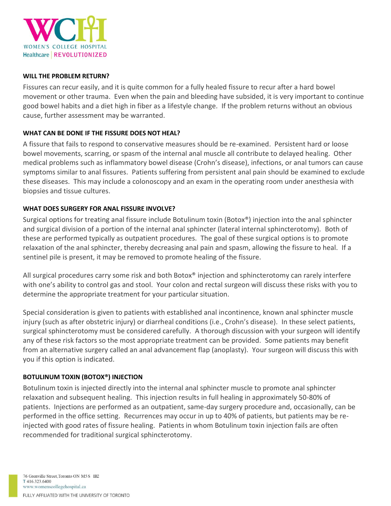

#### **WILL THE PROBLEM RETURN?**

Fissures can recur easily, and it is quite common for a fully healed fissure to recur after a hard bowel movement or other trauma. Even when the pain and bleeding have subsided, it is very important to continue good bowel habits and a diet high in fiber as a lifestyle change. If the problem returns without an obvious cause, further assessment may be warranted.

#### **WHAT CAN BE DONE IF THE FISSURE DOES NOT HEAL?**

A fissure that fails to respond to conservative measures should be re-examined. Persistent hard or loose bowel movements, scarring, or spasm of the internal anal muscle all contribute to delayed healing. Other medical problems such as inflammatory bowel disease (Crohn's disease), infections, or anal tumors can cause symptoms similar to anal fissures. Patients suffering from persistent anal pain should be examined to exclude these diseases. This may include a colonoscopy and an exam in the operating room under anesthesia with biopsies and tissue cultures.

#### **WHAT DOES SURGERY FOR ANAL FISSURE INVOLVE?**

Surgical options for treating anal fissure include Botulinum toxin (Botox®) injection into the anal sphincter and surgical division of a portion of the internal anal sphincter (lateral internal sphincterotomy). Both of these are performed typically as outpatient procedures. The goal of these surgical options is to promote relaxation of the anal sphincter, thereby decreasing anal pain and spasm, allowing the fissure to heal. If a sentinel pile is present, it may be removed to promote healing of the fissure.

All surgical procedures carry some risk and both Botox<sup>®</sup> injection and sphincterotomy can rarely interfere with one's ability to control gas and stool. Your colon and rectal surgeon will discuss these risks with you to determine the appropriate treatment for your particular situation.

Special consideration is given to patients with established anal incontinence, known anal sphincter muscle injury (such as after obstetric injury) or diarrheal conditions (i.e., Crohn's disease). In these select patients, surgical sphincterotomy must be considered carefully. A thorough discussion with your surgeon will identify any of these risk factors so the most appropriate treatment can be provided. Some patients may benefit from an alternative surgery called an anal advancement flap (anoplasty). Your surgeon will discuss this with you if this option is indicated.

#### **BOTULINUM TOXIN (BOTOX®) INJECTION**

Botulinum toxin is injected directly into the internal anal sphincter muscle to promote anal sphincter relaxation and subsequent healing. This injection results in full healing in approximately 50-80% of patients. Injections are performed as an outpatient, same-day surgery procedure and, occasionally, can be performed in the office setting. Recurrences may occur in up to 40% of patients, but patients may be reinjected with good rates of fissure healing. Patients in whom Botulinum toxin injection fails are often recommended for traditional surgical sphincterotomy.